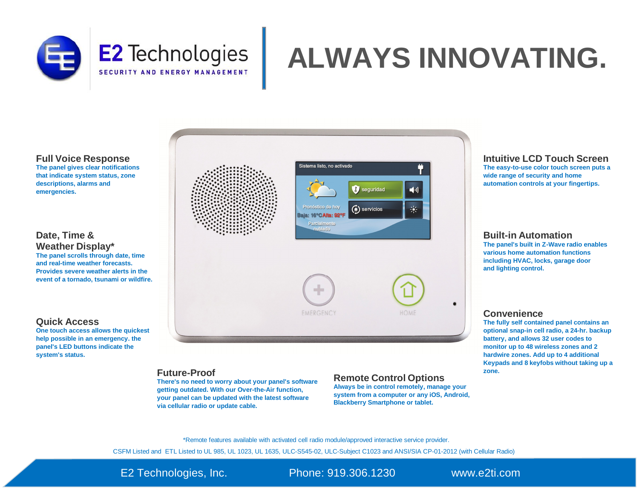

# **ALWAYS INNOVATING.**

**Full Voice Response**

**The panel gives clear notifications that indicate system status, zone descriptions, alarms and emergencies.**

#### **Date, Time & Weather Display\***

**The panel scrolls through date, time and real-time weather forecasts. Provides severe weather alerts in the event of a tornado, tsunami or wildfire.**

#### **Quick Access**

**One touch access allows the quickest help possible in an emergency. the panel's LED buttons indicate the system's status.**



#### **Future-Proof**

**There's no need to worry about your panel's software getting outdated. With our Over-the-Air function, your panel can be updated with the latest software via cellular radio or update cable.**

#### **Remote Control Options**

**Always be in control remotely, manage your system from a computer or any iOS, Android, Blackberry Smartphone or tablet.**

#### **Intuitive LCD Touch Screen**

**The easy-to-use color touch screen puts a wide range of security and home automation controls at your fingertips.**

#### **Built-in Automation**

**The panel's built in Z-Wave radio enables various home automation functions including HVAC, locks, garage door and lighting control.**

#### **Convenience**

**The fully self contained panel contains an optional snap-in cell radio, a 24-hr. backup battery, and allows 32 user codes to monitor up to 48 wireless zones and 2 hardwire zones. Add up to 4 additional Keypads and 8 keyfobs without taking up a zone.**

\*Remote features available with activated cell radio module/approved interactive service provider.

CSFM Listed and ETL Listed to UL 985, UL 1023, UL 1635, ULC-S545-02, ULC-Subject C1023 and ANSI/SIA CP-01-2012 (with Cellular Radio)

E2 Technologies, Inc. Phone: 919.306.1230 [www.e2ti.com](http://www.e2ti.com)